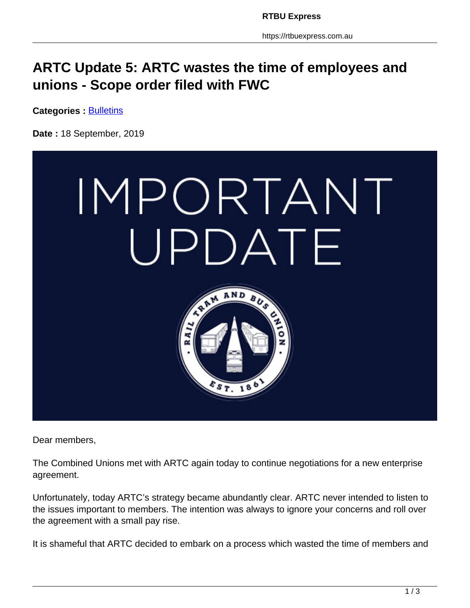## **ARTC Update 5: ARTC wastes the time of employees and unions - Scope order filed with FWC**

**Categories : [Bulletins](https://rtbuexpress.com.au/category/news/bulletins/)** 

**Date :** 18 September, 2019



Dear members,

The Combined Unions met with ARTC again today to continue negotiations for a new enterprise agreement.

Unfortunately, today ARTC's strategy became abundantly clear. ARTC never intended to listen to the issues important to members. The intention was always to ignore your concerns and roll over the agreement with a small pay rise.

It is shameful that ARTC decided to embark on a process which wasted the time of members and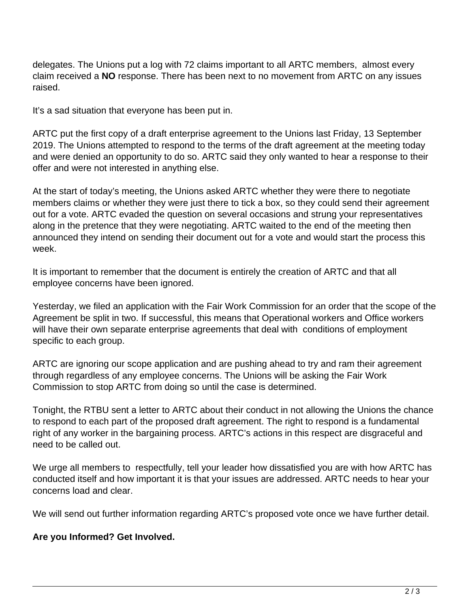delegates. The Unions put a log with 72 claims important to all ARTC members, almost every claim received a **NO** response. There has been next to no movement from ARTC on any issues raised.

It's a sad situation that everyone has been put in.

ARTC put the first copy of a draft enterprise agreement to the Unions last Friday, 13 September 2019. The Unions attempted to respond to the terms of the draft agreement at the meeting today and were denied an opportunity to do so. ARTC said they only wanted to hear a response to their offer and were not interested in anything else.

At the start of today's meeting, the Unions asked ARTC whether they were there to negotiate members claims or whether they were just there to tick a box, so they could send their agreement out for a vote. ARTC evaded the question on several occasions and strung your representatives along in the pretence that they were negotiating. ARTC waited to the end of the meeting then announced they intend on sending their document out for a vote and would start the process this week.

It is important to remember that the document is entirely the creation of ARTC and that all employee concerns have been ignored.

Yesterday, we filed an application with the Fair Work Commission for an order that the scope of the Agreement be split in two. If successful, this means that Operational workers and Office workers will have their own separate enterprise agreements that deal with conditions of employment specific to each group.

ARTC are ignoring our scope application and are pushing ahead to try and ram their agreement through regardless of any employee concerns. The Unions will be asking the Fair Work Commission to stop ARTC from doing so until the case is determined.

Tonight, the RTBU sent a letter to ARTC about their conduct in not allowing the Unions the chance to respond to each part of the proposed draft agreement. The right to respond is a fundamental right of any worker in the bargaining process. ARTC's actions in this respect are disgraceful and need to be called out.

We urge all members to respectfully, tell your leader how dissatisfied you are with how ARTC has conducted itself and how important it is that your issues are addressed. ARTC needs to hear your concerns load and clear.

We will send out further information regarding ARTC's proposed vote once we have further detail.

## **Are you Informed? Get Involved.**